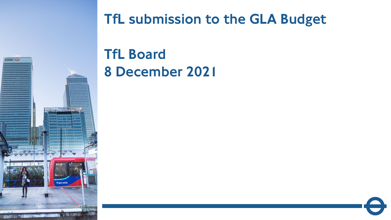

# TfL submission to the GLA Budget

TfL Board 8 December 2021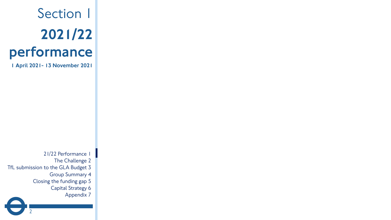# Section 1 2021/22 performance

1 April 2021- 13 November 2021

21/22 Performance 1 The Challenge 2 TfL submission to the GLA Budget 3 Group Summary 4 Closing the funding gap 5 Capital Strategy 6 Appendix 7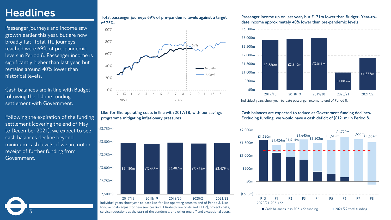# **Headlines**

Passenger journeys and income saw growth earlier this year, but are now broadly flat. Total TfL journeys reached were 69% of pre-pandemic levels in Period 8. Passenger income is significantly higher than last year, but remains around 40% lower than historical levels.

Cash balances are in line with Budget following the 1 June funding settlement with Government.

Following the expiration of the funding settlement (covering the end of May to December 2021), we expect to see cash balances decline beyond minimum cash levels, if we are not in receipt of further funding from Government.

3

### **Total passenger journeys 69% of pre-pandemic levels against a target of 75%.**



**Like-for-like operating costs in line with 2017/18, with our savings programme mitigating inflationary pressures**

(£3,750m)



for-like costs adjust for new services (incl. Elizabeth line costs and ULEZ), project costs, service reductions at the start of the pandemic, and other one off and exceptional costs.

### **Passenger income up on last year, but £171m lower than Budget. Year-todate income approximately 40% lower than pre-pandemic levels**



Individual years show year-to-date passenger income to end of Period 8.

**Cash balances are expected to reduce as Government funding declines. Excluding funding, we would have a cash deficit of (£121m) in Period 8.**

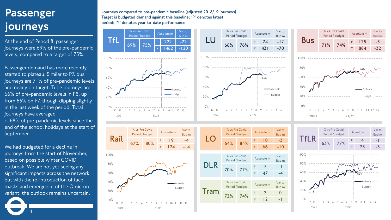# Passenger journeys

At the end of Period 8, passenger journeys were 69% of the pre-pandemic levels, compared to a target of 75%.

Passenger demand has more recently started to plateau. Similar to P7, bus journeys are 71% of pre-pandemic levels and nearly on target. Tube journeys are 66% of pre-pandemic levels in P8, up from 65% on P7, though dipping slightly in the last week of the period. Total journeys have averaged

c. 68% of pre-pandemic levels since the end of the school holidays at the start of September.

We had budgeted for a decline in journeys from the start of November, based on possible winter COVID outbreak. We are not yet seeing any significant impacts across the network, but with the re-introduction of face masks and emergence of the Omicron variant, the outlook remains uncertain.

4

**Journeys compared to pre-pandemic baseline (adjusted 2018/19 journeys) Target is budgeted demand against this baseline; 'P' denotes latest period; 'Y' denotes year-to-date performance**



Var to Bud m

Var to Bud m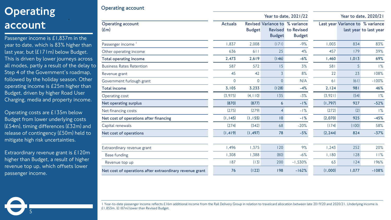# **Operating** account<sup>'</sup>

Passenger income is £1,837m in the year to date, which is 83% higher than last year, but  $(E171m)$  below Budget. This is driven by lower journeys across all modes, partly a result of the delay to Step 4 of the Government's roadmap, followed by the holiday season. Other operating income is £25m higher than Budget, driven by higher Road User Charging, media and property income.

**Operating account**

Operating costs are £135m below Budget from lower underlying costs (£54m), timing differences (£32m) and release of contingency (£50m) held to mitigate high risk uncertainties.

Extraordinary revenue grant is £120m higher than Budget, a result of higher revenue top up, which offsets lower passenger income.

5

|                                                          |                |                |                                                 | Year to date, 2021/22                      | Year to date, 2020/21 |                                  |                        |  |  |
|----------------------------------------------------------|----------------|----------------|-------------------------------------------------|--------------------------------------------|-----------------------|----------------------------------|------------------------|--|--|
| <b>Operating account</b><br>$(\text{Em})$                | <b>Actuals</b> | <b>Budget</b>  | Revised Variance to % variance<br><b>Budget</b> | <b>Revised to Revised</b><br><b>Budget</b> |                       | Last year Variance to % variance | last year to last year |  |  |
| Passenger income <sup>1</sup>                            | 1,837          | 2,008          | (171)                                           | $-9%$                                      | 1,003                 | 834                              | 83%                    |  |  |
| Other operating income                                   | 636            | 611            | 25                                              | 4%                                         | 457                   | 179                              | 39%                    |  |  |
| <b>Total operating income</b>                            | 2,473          | 2,619          | (146)                                           | $-6%$                                      | 1,460                 | 1,013                            | 69%                    |  |  |
| <b>Business Rates Retention</b>                          | 587            | 572            | 15                                              | 3%                                         | 581                   | 5                                | $1\%$                  |  |  |
| Revenue grant                                            | 45             | 42             | $\overline{3}$                                  | 8%                                         | 22                    | 23                               | 108%                   |  |  |
| Government furlough grant                                | $\overline{0}$ | $\overline{0}$ | $\overline{0}$                                  | N/A                                        | 61                    | (61)                             | $-100%$                |  |  |
| <b>Total income</b>                                      | 3,105          | 3,233          | (128)                                           | $-4%$                                      | 2,124                 | 981                              | 46%                    |  |  |
| Operating cost                                           | (3, 975)       | (4, 110)       | 135                                             | $-3%$                                      | (3,921)               | (54)                             | $1\%$                  |  |  |
| Net operating surplus                                    | (870)          | (877)          | 6                                               | $-1\%$                                     | (1,797)               | 927                              | $-52%$                 |  |  |
| Net financing costs                                      | (275)          | (279)          | $\overline{4}$                                  | $-1\%$                                     | (272)                 | (2)                              | $1\%$                  |  |  |
| Net cost of operations after financing                   | (1, 145)       | (1, 155)       | 10                                              | $-1%$                                      | (2,070)               | 925                              | $-45%$                 |  |  |
| Capital renewals                                         | (274)          | (342)          | 68                                              | $-20%$                                     | (174)                 | (100)                            | 58%                    |  |  |
| Net cost of operations                                   | (1, 419)       | (1, 497)       | 78                                              | $-5%$                                      | (2, 244)              | 824                              | $-37%$                 |  |  |
| Extraordinary revenue grant                              | 1,496          | 1,375          | 120                                             | 9%                                         | 1,243                 | 252                              | 20%                    |  |  |
| <b>Base funding</b>                                      | 1,308          | 1,388          | (80)                                            | $-6%$                                      | 1,180                 | 128                              | 11%                    |  |  |
| Revenue top up                                           | 187            | (13)           | 200                                             | $-1,530%$                                  | 63                    | 124                              | 196%                   |  |  |
| Net cost of operations after extraordinary revenue grant | 76             | (122)          | 198                                             | $-162%$                                    | (1,000)               | 1,077                            | $-108%$                |  |  |

1 Year-to-date passenger income reflects £16m additional income from the Rail Delivery Group in relation to travelcard allocation between late 2019/20 and 2020/21. Underlying income is £1,853m, (£187m) lower than Revised Budget.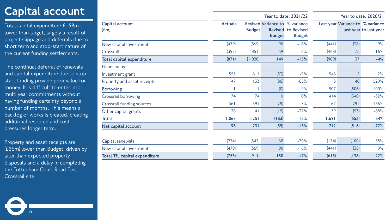# Capital account

Total capital expenditure £158m lower than target, largely a result of project slippage and deferrals due to short term and stop-start nature of the current funding settlements.

The continual deferral of renewals and capital expenditure due to stopstart funding provide poor value for money. It is difficult to enter into multi year commitments without having funding certainty beyond a number of months. This means a backlog of works is created, creating additional resource and cost pressures longer term.

Property and asset receipts are (£86m) lower than Budget, driven by later than expected property disposals and a delay in completing the Tottenham Court Road East Crossrail site.

|                                                         | Year to date, 2021/22<br>Year to date, 2020/21 |                |                                                 |                                            |       |                                  |                        |
|---------------------------------------------------------|------------------------------------------------|----------------|-------------------------------------------------|--------------------------------------------|-------|----------------------------------|------------------------|
| Capital account<br>$(\pmb{\mathsf{f}}\pmb{\mathrm{m}})$ | <b>Actuals</b>                                 | <b>Budget</b>  | Revised Variance to % variance<br><b>Budget</b> | <b>Revised to Revised</b><br><b>Budget</b> |       | Last year Variance to % variance | last year to last year |
| New capital investment                                  | (479)                                          | (569)          | 90                                              | $-16%$                                     | (441) | (38)                             | 9%                     |
| Crossrail                                               | (392)                                          | (451)          | 59                                              | $-13%$                                     | (468) | 75                               | $-16%$                 |
| Total capital expenditure                               | (871)                                          | (1,020)        | 149                                             | $-15%$                                     | (909) | 37                               | $-4%$                  |
| Financed by:                                            |                                                |                |                                                 |                                            |       |                                  |                        |
| Investment grant                                        | 558                                            | 611            | (53)                                            | $-9%$                                      | 546   | 2                                | 2%                     |
| Property and asset receipts                             | 47                                             | 133            | (86)                                            | $-65%$                                     | 8     | 40                               | 529%                   |
| <b>Borrowing</b>                                        |                                                |                | (0)                                             | $-19%$                                     | 507   | (506)                            | $-100%$                |
| Crossrail borrowing                                     | 74                                             | 74             | 0                                               | $0\%$                                      | 4 4   | (340)                            | $-82%$                 |
| Crossrail funding sources                               | 361                                            | 391            | (29)                                            | $-7%$                                      | 67    | 294                              | 436%                   |
| Other capital grants                                    | 26                                             | 4 <sub>1</sub> | (15)                                            | $-37%$                                     | 79    | (53)                             | $-68%$                 |
| <b>Total</b>                                            | 1,067                                          | 1,251          | (183)                                           | $-15%$                                     | 1,621 | (553)                            | $-34%$                 |
| Net capital account                                     | 196                                            | 231            | (35)                                            | $-15%$                                     | 712   | (516)                            | $-72%$                 |
|                                                         |                                                |                |                                                 |                                            |       |                                  |                        |
| Capital renewals                                        | (274)                                          | (342)          | 68                                              | $-20%$                                     | (174) | (100)                            | 58%                    |
| New capital investment                                  | (479)                                          | (569)          | 90                                              | $-16%$                                     | (441) | (38)                             | 9%                     |
| <b>Total TfL capital expenditure</b>                    | (753)                                          | (911)          | 158                                             | $-17%$                                     | (615) | (138)                            | 22%                    |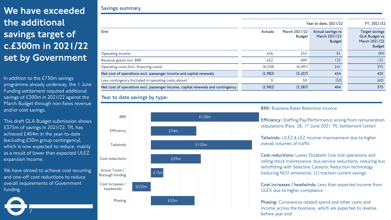# We have exceeded the additional savings target of c.£300m in 2021/22 set by Government

In addition to the £730m savings programme already underway, the 1 June Funding settlement required additional savings of £300m in 2021/22 against the March Budget through non-fares revenue and/or cost savings.

This draft GLA Budget submission shows £375m of savings in 2021/22. TfL has achieved £404m in the year-to-date (excluding £50m group contingency), which is now expected to reduce, mainly as a result of lower than expected ULEZ expansion income.

We have strived to achieve cost recurring and one-off cost reductions to reduce overall requirements of Government funding.

7

### **Savings summary**

|                | FY, 2021/22                    |                                                     |                                                                                 |
|----------------|--------------------------------|-----------------------------------------------------|---------------------------------------------------------------------------------|
| <b>Actuals</b> | March 2021/22<br><b>Budget</b> | Actual savings vs<br>March 2021/22<br><b>Budget</b> | <b>Target savings</b><br><b>GLA Budget vs</b><br>March 2021/22<br><b>Budget</b> |
| 636            | 555                            | 81                                                  | (89)                                                                            |
| 632            | 499                            | 132                                                 | 132                                                                             |
| (4, 250)       | (4, 491)                       | 241                                                 | 393                                                                             |
| (2,982)        | (3, 437)                       | 454                                                 | 435                                                                             |
| 0              | 50                             | (50)                                                | (60)                                                                            |
| (2,982)        | (3,387)                        | 404                                                 | 375                                                                             |
|                |                                |                                                     | Year to date, 2021/22                                                           |

### **Year to date savings by type:**



### **BRR:** Business Rates Retention income

**Efficiency:** Staffing/Pay/Performance arising from remuneration stipulations (Para. 28, 1st June 2021 TfL Settlement Letter)

**Tailwinds:** ULEZ & LEZ income improvement due to higher overall volumes of traffic

**Cost reductions:** Lower Elizabeth Line trial operations and rolling stock maintenance, bus service reductions, reducing bus retrofitting with Selective Catalytic Reduction technology (reducing NO2 emissions), LU traction current savings

**Cost increases / headwinds:** Less than expected income from ULEX due to higher compliance

**Phasing:** Coronavirus related spend and other costs and income across the business, which are expected to reverse before year end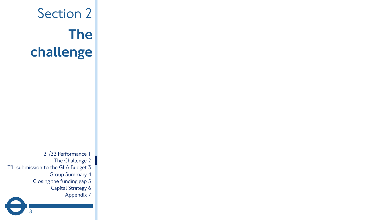# Section 2 The challenge

21/22 Performance 1 The Challenge 2 TfL submission to the GLA Budget 3 Group Summary 4 Closing the funding gap 5 Capital Strategy 6 Appendix 7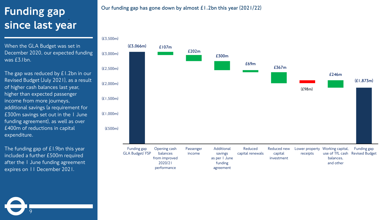# Funding gap since last year

When the GLA Budget was set in December 2020, our expected funding was £3.1bn.

The gap was reduced by £1.2bn in our Revised Budget (July 2021), as a result of higher cash balances last year, higher than expected passenger income from more journeys, additional savings (a requirement for £300m savings set out in the 1 June funding agreement), as well as over £400m of reductions in capital expenditure.

The funding gap of £1.9bn this year included a further £500m required after the 1 June funding agreement expires on 11 December 2021.

9

### **Our funding gap has gone down by almost £1.2bn this year (2021/22)**

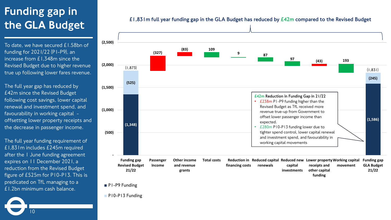# Funding gap in the GLA Budget

To date, we have secured £1.58bn of funding for 2021/22 (P1-P9), an increase from £1,348m since the Revised Budget due to higher revenue true up following lower fares revenue.

The full year gap has reduced by £42m since the Revised Budget following cost savings, lower capital renewal and investment spend, and favourability in working capital offsetting lower property receipts and the decrease in passenger income.

The full year funding requirement of £1,831m includes £245m required after the 1 June funding agreement expires on 11 December 2021, a reduction from the Revised Budget figure of £525m for P10-P13. This is predicated on TfL managing to a £1.2bn minimum cash balance.



### **£1,831m full year funding gap in the GLA Budget has reduced by £42m compared to the Revised Budget**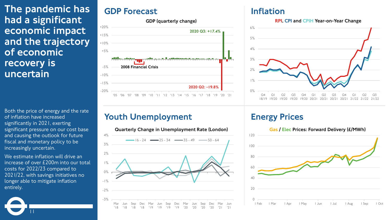The pandemic has had a significant economic impact and the trajectory of economic recovery is uncertain

Both the price of energy and the rate<br> **Social Prices Both Unemployment** Energy Prices of inflation have increased significantly in 2021, exerting significant pressure on our cost base and causing the outlook for future fiscal and monetary policy to be increasingly uncertain.

We estimate inflation will drive an increase of over £200m into our total costs for 2022/23 compared to 2021/22, with savings initiatives no longer able to mitigate inflation entirely.

11

## GDP Forecast **Inflation**



Quarterly Change in Unemployment Rate (London)



RPI, CPI and CPIH Year-on-Year Change



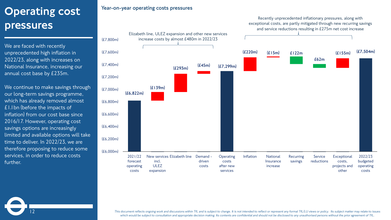# Operating cost pressures

We are faced with recently unprecedented high inflation in 2022/23, along with increases on National Insurance, increasing our annual cost base by £235m.

We continue to make savings through our long-term savings programme, which has already removed almost £1.1bn (before the impacts of inflation) from our cost base since 2016/17. However, operating cost savings options are increasingly limited and available options will take time to deliver. In 2022/23, we are therefore proposing to reduce some services, in order to reduce costs further.

12

### **Year-on-year operating costs pressures**



Recently unprecedented inflationary pressures, along with

*This document reflects ongoing work and discussions within TfL and is subject to change. It is not intended to reflect or represent any formal TfL/LU views or policy. Its subject matter may relate to issues*  which would be subject to consultation and appropriate decision making. Its contents are confidential and should not be disclosed to any unauthorised persons without the prior agreement of TfL.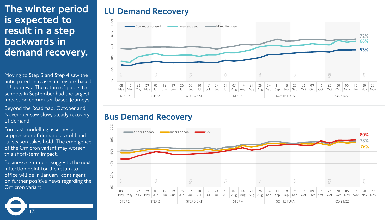# The winter period is expected to result in a step backwards in demand recovery.

Moving to Step 3 and Step 4 saw the anticipated increases in Leisure-based LU journeys. The return of pupils to schools in September had the largest impact on commuter-based journeys.

Beyond the Roadmap, October and November saw slow, steady recovery of demand.

Forecast modelling assumes a suppression of demand as cold and flu season takes hold. The emergence of the Omicron variant may worsen this short-term impact.

Business sentiment suggests the next inflection point for the return to office will be in January, contingent on further positive news regarding the Omicron variant.

13

## LU Demand Recovery



## Bus Demand Recovery

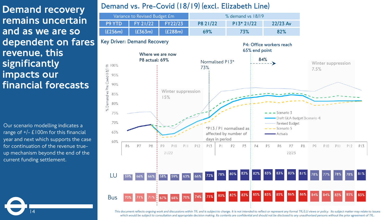Demand recovery remains uncertain and as we are so dependent on fares revenue, this significantly impacts our financial forecasts

Our scenario modelling indicates a range of  $+/- E100m$  for this financial year and next which supports the case for continuation of the revenue trueup mechanism beyond the end of the current funding settlement.

14

## **Demand vs. Pre-Covid (18/19) (excl. Elizabeth Line)**





*This document reflects ongoing work and discussions within TfL and is subject to change. It is not intended to reflect or represent any formal TfL/LU views or policy. Its subject matter may relate to issues*  which would be subject to consultation and appropriate decision making. Its contents are confidential and should not be disclosed to any unauthorised persons without the prior agreement of TfL.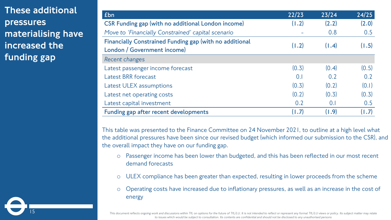These additional pressures materialising have increased the funding gap

15

| £bn                                                                                    | 22/23 | 23/24 | 24/25 |
|----------------------------------------------------------------------------------------|-------|-------|-------|
| <b>CSR Funding gap (with no additional London income)</b>                              | (1.2) | (2.2) | (2.0) |
| Move to 'Financially Constrained' capital scenario                                     |       | 0.8   | 0.5   |
| Financially Constrained Funding gap (with no additional<br>London / Government income) | (1.2) | (1.4) | (1.5) |
| Recent changes                                                                         |       |       |       |
| Latest passenger income forecast                                                       | (0.3) | (0.4) | (0.5) |
| <b>Latest BRR forecast</b>                                                             | 0.1   | 0.2   | 0.2   |
| Latest ULEX assumptions                                                                | (0.3) | (0.2) | (0.1) |
| Latest net operating costs                                                             | (0.2) | (0.3) | (0.3) |
| Latest capital investment                                                              | 0.2   | 0.1   | 0.5   |
| Funding gap after recent developments                                                  | (1.7) | (1.9) | (1.7) |

This table was presented to the Finance Committee on 24 November 2021, to outline at a high level what the additional pressures have been since our revised budget (which informed our submission to the CSR), and the overall impact they have on our funding gap.

- o Passenger income has been lower than budgeted, and this has been reflected in our most recent demand forecasts
- o ULEX compliance has been greater than expected, resulting in lower proceeds from the scheme
- o Operating costs have increased due to inflationary pressures, as well as an increase in the cost of energy

This document reflects ongoing work and discussions within TfL on options for the future of TfL/LU. It is not intended to reflect or represent any formal TfL/LU views or policy. Its subject matter may relate *to issues which would be subject to consultation. Its contents are confidential and should not be disclosed to any unauthorised persons*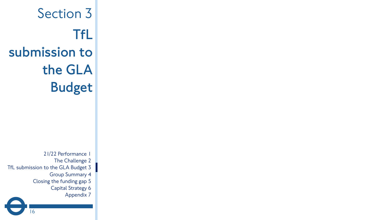Section 3 **TfL submission to the GLA Budget** 21/22 Performance 1 The Challenge 2 TfL submission to the GLA Budget 3 Group Summary 4 Closing the funding gap 5 Capital Strategy 6 Appendix 7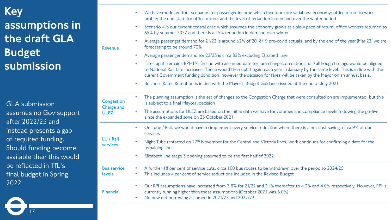# Key assumptions in the draft GLA Budget submission

GLA submission assumes no Gov support after 2022/23 and instead presents a gap of required funding. Should funding become available then this would be reflected in TfL's final budget in Spring 2022

|                                 |                        | We have modelled four scenarios for passenger income which flex four core variables: economy; office return to work<br>profile; the end state for office return; and the level of reduction in demand over the winter period                                                                                                                                                          |
|---------------------------------|------------------------|---------------------------------------------------------------------------------------------------------------------------------------------------------------------------------------------------------------------------------------------------------------------------------------------------------------------------------------------------------------------------------------|
|                                 | $\bullet$              | Scenario 4 is our current central case which assumes the economy grows at a slow pace of return, office workers returned to<br>65% by summer 2022 and there is a 15% reduction in demand over winter                                                                                                                                                                                  |
| <b>Revenue</b>                  | $\bullet$              | Average passenger demand for 21/22 is around 62% of 2018/19 pre-covid actuals, and by the end of the year (Mar 22) we are<br>forecasting to be around 73%                                                                                                                                                                                                                             |
|                                 | $\bullet$              | Average passenger demand for 22/23 is circa 82% excluding Elizabeth line                                                                                                                                                                                                                                                                                                              |
|                                 | $\bullet$              | Fares uplift remains RPI+1% (in line with assumed date for fare changes on national rail) although timings would be aligned<br>to National Rail fare increases. These would then uplift again each year in January by the same level. This is in line with the<br>current Government funding condition, however the decision for fares will be taken by the Mayor on an annual basis. |
|                                 | $\bullet$              | Business Rates Retention is in line with the Mayor's Budget Guidance issued at the end of July 2021                                                                                                                                                                                                                                                                                   |
| Congestion<br><b>Charge and</b> |                        | The planning assumption is the set of changes to the Congestion Charge that were consulted on are implemented, but this<br>is subject to a final Mayoral decision                                                                                                                                                                                                                     |
| <b>ULEZ</b>                     |                        | The assumptions for ULEZ are based on the initial data we have for volumes and compliance levels following the go-live<br>since the expanded zone on 25 October 2021                                                                                                                                                                                                                  |
|                                 | $\bullet$              | On Tube / Rail, we would have to implement every service reduction where there is a net cost saving, circa 9% of our<br>services                                                                                                                                                                                                                                                      |
| LU / Rail<br><b>services</b>    |                        | Night Tube restarted on 27 <sup>th</sup> November for the Central and Victoria lines, work continues for confirming a date for the<br>remaining lines                                                                                                                                                                                                                                 |
|                                 | $\bullet$              | Elizabeth line stage 3 opening assumed to be the first half of 2022                                                                                                                                                                                                                                                                                                                   |
| <b>Bus service</b><br>levels    |                        | A further 18 per cent of service cuts, circa 100 bus routes to be withdrawn over the period to 2024/25<br>This includes 4 per cent of service reductions included in the Revised Budget                                                                                                                                                                                               |
| <b>Financial</b>                | $\bullet$<br>$\bullet$ | Our RPI assumptions have increased from 2.8% for 21/22 and 3.1% thereafter to 4.3% and 4.0% respectively. However, RPI is<br>currently running higher than these assumptions (October 2021 was 6.0%)<br>No new net borrowing assumed in 2021/22 and 2022/23                                                                                                                           |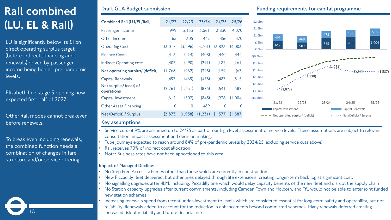# Rail combined (LU, EL & Rail)

LU is significantly below its  $E1$ bn direct operating surplus target (before indirect, financing and renewals) driven by passenger income being behind pre-pandemic levels.

• Elizabeth line stage 3 opening now expected first half of 2022.

•Other Rail modes cannot breakeven before renewals.

To break even including renewals, the combined function needs a combination of changes in fare structure and/or service offering

18

| <b>Combined Rail (LU/EL/Rail)</b>    | 21/22       | 22/23    | 23/24   | 24/25    | 25/26    |
|--------------------------------------|-------------|----------|---------|----------|----------|
| Passenger Income                     | 1,999       | 3,133    | 3,561   | 3,830    | 4,070    |
| Other income                         | 65          | 305      | 442     | 456      | 470      |
| <b>Operating Costs</b>               | (3,017)     | (3, 496) | (3,701) | (3,823)  | (4,003)  |
| <b>Finance Costs</b>                 | (413)       | (414)    | (408)   | (440)    | (444)    |
| Indirect Operating cost              | (403)       | (490)    | (291)   | (182)    | (161)    |
| Net operating surplus/ (deficit)     | (1,768)     | (962)    | (398)   | (159)    | (67)     |
| Capital Renewals                     | (493)       | (469)    | (478)   | (483)    | (515)    |
| Net surplus/ (cost) of<br>operations | (2, 261)    | (1, 431) | (875)   | (641)    | (582)    |
| Capital Investment                   | (612)       | (507)    | (845)   | (936)    | (1,004)  |
| <b>Other Asset Financing</b>         | $\mathbf 0$ | 0        | 489     | 0        | $\Omega$ |
| Net (Deficit) / Surplus              | (2,873)     | (1,938)  | (1,231) | (1, 577) | (1.587)  |
| Kov secumpione                       |             |          |         |          |          |

### **Draft GLA Budget submission Funding requirements for capital programme**



### **Key assumptions**

- Service cuts of 9% are assumed up to 24/25 as part of our high level assessment of service levels. These assumptions are subject to relevant consultation, impact assessment and decision making.
- Tube journeys expected to reach around 84% of pre-pandemic levels by 2024/25 (excluding service cuts above)
- Rail receives 70% of indirect cost allocation
- Note: Business rates have not been apportioned to this area

### **Impact of Managed Decline:**

- No Step Free Access schemes other than those which are currently in construction.
- New Piccadilly fleet delivered, but other lines delayed through life extensions, creating longer-term back log at significant cost.
- No signalling upgrades after 4LM, including. Piccadilly line which would delay capacity benefits of the new fleet and disrupt the supply chain
- No Station capacity upgrades after current commitments, including Camden Town and Holborn, and TfL would not be able to enter joint funded new station schemes.
- Increasing renewals spend from recent under-investment to levels which are considered essential for long-term safety and operability, but not reliability. Renewals added to account for the reduction in enhancements beyond committed schemes. Many renewals deferred creating increased risk of reliability and future financial risk.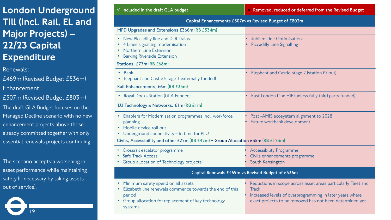# London Underground Till (incl. Rail, EL and Major Projects) – 22/23 Capital **Expenditure**

Renewals:

£469m (Revised Budget £536m) Enhancement:

£507m (Revised Budget £803m)

The draft GLA Budget focuses on the Managed Decline scenario with no new enhancement projects above those already committed together with only essential renewals projects continuing.

The scenario accepts a worsening in asset performance while maintaining safety (if necessary by taking assets out of service).

| $\checkmark$ Included in the draft GLA budget                                                                                                                                                                                      | × Removed, reduced or deferred from the Revised Budget                                                                                                                                                |
|------------------------------------------------------------------------------------------------------------------------------------------------------------------------------------------------------------------------------------|-------------------------------------------------------------------------------------------------------------------------------------------------------------------------------------------------------|
|                                                                                                                                                                                                                                    | Capital Enhancements £507m vs Revised Budget of £803m                                                                                                                                                 |
| MPD Upgrades and Extensions £366m (RB £534m)                                                                                                                                                                                       |                                                                                                                                                                                                       |
| • New Piccadilly line and DLR Trains<br>4 Lines signalling modernisation<br>Northern Line Extension<br><b>Barking Riverside Extension</b><br>$\bullet$<br>Stations, £77m (RB £68m)                                                 | Jubilee Line Optimisation<br><b>Piccadilly Line Signalling</b>                                                                                                                                        |
| Bank<br>$\bullet$<br>Elephant and Castle (stage I externally funded)<br>Rail Enhancements, £6m (RB £35m)                                                                                                                           | Elephant and Castle stage 2 (station fit out)                                                                                                                                                         |
| • Royal Docks Station (GLA Funded)                                                                                                                                                                                                 | East London Line HIF (unless fully third party funded)                                                                                                                                                |
| LU Technology & Networks, £1m (RB £1m)                                                                                                                                                                                             |                                                                                                                                                                                                       |
| • Enablers for Modernisation programmes incl. workforce<br>planning<br>• Mobile device roll out<br>Underground connectivity - in time for PLU<br>Civils, Accessibility and other £22m (RB £42m) + Group Allocation £35m (RB £123m) | Post-AMIS ecosystem alignment to 2028<br>Future workbank development                                                                                                                                  |
| • Crossrail escalator programme<br><b>Safe Track Access</b><br>Group allocation of Technology projects                                                                                                                             | <b>Accessibility Programme</b><br>Civils enhancements programme<br>South Kensington                                                                                                                   |
|                                                                                                                                                                                                                                    | Capital Renewals £469m vs Revised Budget of £536m                                                                                                                                                     |
| • Minimum safety spend on all assets<br>Elizabeth line renewals commence towards the end of this<br>period<br>Group allocation for replacement of key technology<br>systems                                                        | Reductions in scope across asset areas particularly Fleet and<br><b>Track</b><br>Increased levels of overprogramming in later years where<br>exact projects to be removed has not been determined yet |
|                                                                                                                                                                                                                                    |                                                                                                                                                                                                       |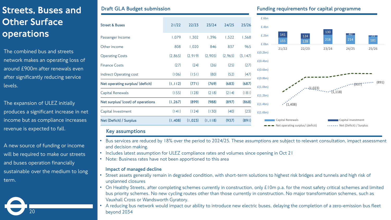# Streets, Buses and Other Surface operations

The combined bus and streets network makes an operating loss of around £900m after renewals even after significantly reducing service levels.

The expansion of ULEZ initially produces a significant increase in net income but as compliance increases revenue is expected to fall.

A new source of funding or income will be required to make our streets and buses operation financially sustainable over the medium to long term.

20

| <b>Street &amp; Buses</b>         | 21/22    | 22/23   | 23/24    | 24/25   | 25/26    |
|-----------------------------------|----------|---------|----------|---------|----------|
| Passenger Income                  | 1,079    | 1,302   | 1,396    | 1,522   | 1,568    |
| Other income                      | 808      | 1,020   | 846      | 837     | 965      |
| <b>Operating Costs</b>            | (2,865)  | (2,919) | (2,905)  | (2,965) | (3, 147) |
| <b>Finance Costs</b>              | (27)     | (24)    | (26)     | (25)    | (27)     |
| <b>Indirect Operating cost</b>    | (106)    | (151)   | (80)     | (52)    | (47)     |
| Net operating surplus/ (deficit)  | (1, 112) | (771)   | (769)    | (683)   | (687)    |
| Capital Renewals                  | (155)    | (128)   | (218)    | (214)   | (181)    |
| Net surplus/ (cost) of operations | (1, 267) | (899)   | (988)    | (897)   | (868)    |
| Capital Investment                | (141)    | (124)   | (130)    | (40)    | (23)     |
| Net (Deficit) / Surplus           | (1,408)  | (1,023) | (1, 118) | (937)   | (891)    |
|                                   |          |         |          |         |          |

### **Draft GLA Budget submission Funding requirements for capital programme**



### **Key assumptions**

- Bus services are reduced by 18% over the period to 2024/25. These assumptions are subject to relevant consultation, impact assessment and decision making.
- Includes latest assumption for ULEZ compliance rates and volumes since opening in Oct 21
- Note: Business rates have not been apportioned to this area

### **Impact of managed decline**

- Street assets generally remain in degraded condition, with short-term solutions to highest risk bridges and tunnels and high risk of unplanned closures
- On Healthy Streets, after completing schemes currently in construction, only £10m p.a. for the most safety critical schemes and limited bus priority schemes. No new cycling routes other than those currently in construction. No major transformation schemes, such as Vauxhall Cross or Wandsworth Gyratory.
- A reducing bus network would impact our ability to introduce new electric buses, delaying the completion of a zero-emission bus fleet beyond 2034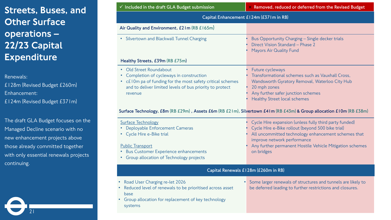# Streets, Buses, and **Other Surface** operations – 22/23 Capital **Expenditure**

Renewals:

£128m (Revised Budget £260m) Enhancement: £124m (Revised Budget £371m)

The draft GLA Budget focuses on the Managed Decline scenario with no new enhancement projects above those already committed together with only essential renewals projects continuing.

21

| $\checkmark$ Included in the draft GLA Budget submission                                                                                                                                                      | $\times$ Removed, reduced or deferred from the Revised Budget                                                                                                                                                                                                                                                                               |  |  |  |  |
|---------------------------------------------------------------------------------------------------------------------------------------------------------------------------------------------------------------|---------------------------------------------------------------------------------------------------------------------------------------------------------------------------------------------------------------------------------------------------------------------------------------------------------------------------------------------|--|--|--|--|
|                                                                                                                                                                                                               | Capital Enhancement £124m (£371m in RB)                                                                                                                                                                                                                                                                                                     |  |  |  |  |
| Air Quality and Environment, £21m (RB £165m)                                                                                                                                                                  |                                                                                                                                                                                                                                                                                                                                             |  |  |  |  |
| • Silvertown and Blackwall Tunnel Charging                                                                                                                                                                    | Bus Opportunity Charging - Single decker trials<br>Direct Vision Standard - Phase 2<br><b>Mayors Air Quality Fund</b>                                                                                                                                                                                                                       |  |  |  |  |
| Healthy Streets, £39m (RB £75m)                                                                                                                                                                               |                                                                                                                                                                                                                                                                                                                                             |  |  |  |  |
| • Old Street Roundabout<br>• Completion of cycleways in construction<br>• c£10m pa of funding for the most safety critical schemes<br>and to deliver limited levels of bus priority to protect<br>revenue     | Future cycleways<br>Transformational schemes such as Vauxhall Cross,<br>Wandsworth Gyratory Removal, Waterloo City Hub<br>20 mph zones<br>Any further safer junction schemes<br><b>Healthy Street local schemes</b><br>Surface Technology, £8m (RB £29m), Assets £6m (RB £21m), Silvertown £41m (RB £43m) & Group allocation £10m (RB £38m) |  |  |  |  |
| <b>Surface Technology</b><br>Deployable Enforcement Cameras<br>• Cycle Hire e-Bike trial<br><b>Public Transport</b><br><b>Bus Customer Experience enhancements</b><br>Group allocation of Technology projects | Cycle Hire expansion (unless fully third party funded)<br>Cycle Hire e-Bike rollout (beyond 500 bike trial)<br>All uncommitted technology enhancement schemes that<br>improve network performance<br>Any further permanent Hostile Vehicle Mitigation schemes<br>on bridges                                                                 |  |  |  |  |
|                                                                                                                                                                                                               | Capital Renewals £128m (£260m in RB)                                                                                                                                                                                                                                                                                                        |  |  |  |  |
| Road User Charging re-let 2026<br>Reduced level of renewals to be prioritised across asset<br>hase                                                                                                            | Some larger renewals of structures and tunnels are likely to<br>$\bullet$<br>be deferred leading to further restrictions and closures.                                                                                                                                                                                                      |  |  |  |  |

• Group allocation for replacement of key technology systems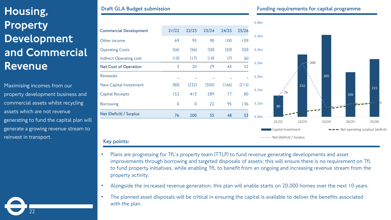# Housing, **Property** Development and Commercial Revenue

Maximising incomes from our property development business and commercial assets whilst recycling assets which are not revenue generating to fund the capital plan will generate a growing revenue stream to reinvest in transport.



|                               |                |             |       |       |       | £.4bn          |
|-------------------------------|----------------|-------------|-------|-------|-------|----------------|
| <b>Commercial Development</b> | 21/22          | 22/23       | 23/24 | 24/25 | 25/26 |                |
| Other income                  | 69             | 93          | 90    | 100   | 109   | £.3bn          |
| <b>Operating Costs</b>        | (56)           | (56)        | (50)  | (50)  | (50)  | £.3bn          |
| Indirect Operating cost       | (10)           | (17)        | (10)  | (7)   | (6)   |                |
| <b>Net Cost of Operation</b>  | 3              | 20          | 29    | 43    | 52    | E.2bn          |
| Renewals                      |                |             |       |       |       | £.2bn          |
| New Capital Investment        | (80)           | (232)       | (305) | (166) | (215) |                |
| <b>Capital Receipts</b>       | 152            | 413         | 289   | 77    | 80    | £.1bn          |
| <b>Borrowing</b>              | $\overline{0}$ | $\mathbf 0$ | 22    | 95    | 136   | £.1bn          |
| Net (Deficit) / Surplus       | 76             | 200         | 35    | 48    | 53    | £.0bn          |
|                               |                |             |       |       |       | $\overline{2}$ |
|                               |                |             |       |       |       | Ca             |
| Key points:                   |                |             |       |       |       | $\bullet$ Ne   |



- Alongside the increased revenue generation, this plan will enable starts on 20,000 homes over the next 10 years.
- The planned asset disposals will be critical in ensuring the capital is available to deliver the benefits associated with the plan.

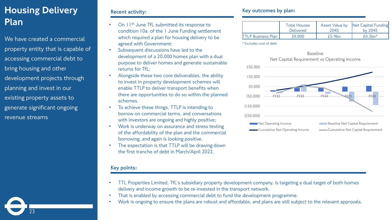# Housing Delivery Plan

We have created a commercial property entity that is capable of accessing commercial debt to bring housing and other development projects through planning and invest in our existing property assets to generate significant ongoing revenue streams

23

### **Recent activity:**

- On  $11<sup>th</sup>$  June TfL submitted its response to condition 10a. of the 1 June Funding settlement which required a plan for housing delivery to be agreed with Government;
- Subsequent discussions have led to the development of a 20,000 homes plan with a dual purpose to deliver homes and generate sustainable returns for TfL;
- Alongside these two core deliverables, the ability to invest in property development schemes will enable TTLP to deliver transport benefits when there are opportunities to do so within the planned schemes.
- To achieve these things, TTLP is intending to borrow on commercial terms, and conversations with investors are ongoing and highly positive;
- Work is underway on assurance and stress testing of the affordability of the plan and the commercial borrowing, and again is looking positive.
- The expectation is that TTLP will be drawing down the first tranche of debt in March/April 2022.

### **Key points:**

### **Key outcomes by plan:**

|                            | <b>Total Houses</b> | Asset Value by     | Net Capital Funding     |  |
|----------------------------|---------------------|--------------------|-------------------------|--|
|                            | <b>Delivered</b>    | 2045               | by $2045$               |  |
| <b>ITTLP Business Plan</b> | 20.000              | f5.9 <sub>bn</sub> | $f(0.3$ bn <sup>*</sup> |  |

\* Excludes cost of debt



Baseline

- TTL Properties Limited, TfL's subsidiary property development company, is targeting a dual target of both homes delivery and income growth to be re-invested in the transport network.
- That is enabled by accessing commercial debt to fund the development programme.
- Work is ongoing to ensure the plans are robust and affordable, and plans are still subject to the relevant approvals.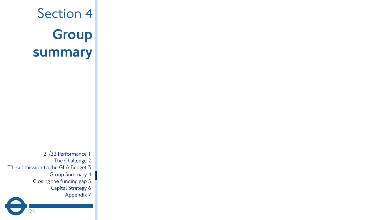# Section 4 **Group** summary

21/22 Performance 1 The Challenge 2 TfL submission to the GLA Budget 3 Group Summary 4 Closing the funding gap 5 Capital Strategy 6 Appendix 7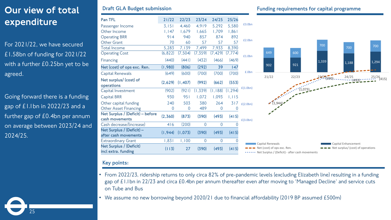# Our view of total expenditure

For 2021/22, we have secured £1.58bn of funding for 2021/22 with a further £0.25bn yet to be agreed.

Going forward there is a funding gap of £1.1bn in 2022/23 and a further gap of £0.4bn per annum on average between 2023/24 and 2024/25.

25

| Pan TFL                                            | 21/22    | 22/23   | 23/24          | 24/25          | 25/26          |                  |                                                                                                     |       |  |
|----------------------------------------------------|----------|---------|----------------|----------------|----------------|------------------|-----------------------------------------------------------------------------------------------------|-------|--|
| Passenger Income                                   | 3,151    | 4,460   | 4,919          | 5,292          | 5,580          | £3.0bn           |                                                                                                     |       |  |
| Other Income                                       | 1,147    | 1,679   | 1,665          | 1,709          | 1,861          |                  |                                                                                                     |       |  |
| <b>Operating BRR</b>                               | 914      | 940     | 857            | 874            | 892            |                  |                                                                                                     |       |  |
| Other Grant                                        | 70       | 60      | 57             | 57             | 57             | £2.0bn           |                                                                                                     |       |  |
| <b>Total Income</b>                                | 5,283    | 7,139   | 7,499          | 7,933          | 8,390          |                  |                                                                                                     |       |  |
| <b>Operating Cost</b>                              | (6, 822) | (7,504) | (7,359)        | (7, 429)       | (7, 774)       | £1.0bn           | 649                                                                                                 | 600   |  |
| Financing                                          | (440)    | (441)   | (432)          | (466)          | (469)          |                  |                                                                                                     |       |  |
| Net (cost) of ops exc. Ren.                        | (1,980)  | (806)   | (292)          | 39             | 147            |                  | 902                                                                                                 | 921   |  |
| Capital Renewals                                   | (649)    | (600)   | (700)          | (700)          | (700)          | £.0bn            |                                                                                                     |       |  |
| Net surplus/ (cost) of<br>operations               | (2,629)  | (1,407) | (992)          | (662)          | (553)          |                  | 21/22                                                                                               | 22/23 |  |
| Capital Investment                                 | (902)    | (921)   | (1, 339)       | (1, 188)       | (1, 294)       | f(1.0bn)         |                                                                                                     |       |  |
| <b>Capital BRR</b>                                 | 930      | 951     | 1,072          | 1,093          | 1,115          |                  | $-7.944$                                                                                            |       |  |
| Other capital funding                              | 240      | 503     | 380            | 264            |                | $317$ $E(2.0bn)$ |                                                                                                     |       |  |
| <b>Other Asset Financing</b>                       | $\Omega$ | 0       | 489            | 0              | $\Omega$       |                  |                                                                                                     |       |  |
| Net Surplus / (Deficit) – before<br>cash movements | (2,360)  | (873)   | (390)          | (493)          | (415)          | f(3.0bn)         |                                                                                                     |       |  |
| Cash decrease/(increase)                           | 416      | (200)   | $\overline{0}$ | $\overline{0}$ | $\overline{0}$ |                  |                                                                                                     |       |  |
| Net Surplus / (Deficit) -<br>after cash movements  | (1, 944) | (1,073) | (390)          | (493)          | (415)          |                  |                                                                                                     |       |  |
| <b>Extraordinary Grant</b>                         | 1,831    | 1,100   | $\overline{0}$ | 0              | $\overline{0}$ |                  |                                                                                                     |       |  |
| Net Surplus / (Deficit)<br>incl extra. funding     | (113)    | 27      | (390)          | (493)          | (415)          |                  | Capital Renewals<br>Net (cost) of ops exc. Ren.<br>• Net Surplus / (Deficit) - after cash movements |       |  |

### **Draft GLA Budget submission Funding requirements for capital programme**



### **Key points:**

- From 2022/23, ridership returns to only circa 82% of pre-pandemic levels (excluding Elizabeth line) resulting in a funding gap of £1.1bn in 22/23 and circa £0.4bn per annum thereafter even after moving to 'Managed Decline' and service cuts on Tube and Bus
- We assume no new borrowing beyond 2020/21 due to financial affordability (2019 BP assumed £500m)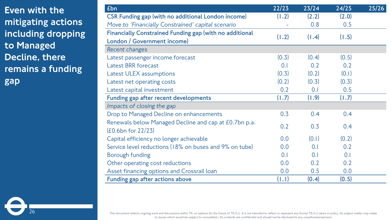Even with the mitigating actions including dropping to Managed Decline, there remains a funding gap

26

| £bn                                                            | 22/23 | 23/24 | 24/25 | 25/26 |
|----------------------------------------------------------------|-------|-------|-------|-------|
| <b>CSR Funding gap (with no additional London income)</b>      | (1.2) | (2.2) | (2.0) |       |
| Move to 'Financially Constrained' capital scenario             |       | 0.8   | 0.5   |       |
| <b>Financially Constrained Funding gap (with no additional</b> |       |       |       |       |
| London / Government income)                                    | (1.2) | (1.4) | (1.5) |       |
| Recent changes                                                 |       |       |       |       |
| Latest passenger income forecast                               | (0.3) | (0.4) | (0.5) |       |
| <b>Latest BRR forecast</b>                                     | 0.1   | 0.2   | 0.2   |       |
| Latest ULEX assumptions                                        | (0.3) | (0.2) | (0.1) |       |
| Latest net operating costs                                     | (0.2) | (0.3) | (0.3) |       |
| Latest capital investment                                      | 0.2   | 0.1   | 0.5   |       |
| Funding gap after recent developments                          | (1.7) | (1.9) | (1.7) |       |
| Impacts of closing the gap                                     |       |       |       |       |
| Drop to Managed Decline on enhancements                        | 0.3   | 0.4   | 0.4   |       |
| Renewals below Managed Decline and cap at £0.7bn p.a.          |       |       |       |       |
| (£0.6bn for 22/23)                                             | 0.2   | 0.3   | 0.4   |       |
| Capital efficiency no longer achievable                        | 0.0   | (0.1) | (0.2) |       |
| Service level reductions (18% on buses and 9% on tube)         | 0.0   | 0.1   | 0.2   |       |
| Borough funding                                                | 0.1   | 0.1   | 0.1   |       |
| Other operating cost reductions                                | 0.0   | 0.2   | 0.2   |       |
| Asset financing options and Crossrail loan                     | 0.0   | 0.5   | 0.0   |       |
| Funding gap after actions above                                | (1.1) | (0.4) | (0.5) |       |

*This document reflects ongoing work and discussions within TfL on options for the future of TfL/LU. It is not intended to reflect or represent any formal TfL/LU views or policy. Its subject matter may relate to issues which would be subject to consultation. Its contents are confidential and should not be disclosed to any unauthorised persons*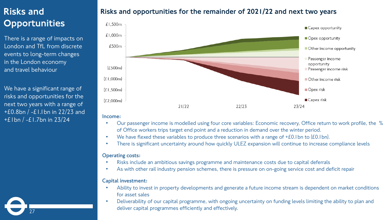## Risks and **Opportunities**

There is a range of impacts on London and TfL from discrete events to long-term changes in the London economy and travel behaviour

We have a significant range of risks and opportunities for the next two years with a range of +£0.8bn / -£1.1bn in 22/23 and +£1bn / -£1.7bn in 23/24

27

## Risks and opportunities for the remainder of 2021/22 and next two years



### • **Income:**

- Our passenger income is modelled using four core variables: Economic recovery, Office return to work profile, the % of Office workers trips target end point and a reduction in demand over the winter period.
- We have flexed these variables to produce three scenarios with a range of  $E0.1$  bn to (£0.1 bn).
- There is significant uncertainty around how quickly ULEZ expansion will continue to increase compliance levels

### • **Operating costs:**

- Risks include an ambitious savings programme and maintenance costs due to capital deferrals
- As with other rail industry pension schemes, there is pressure on on-going service cost and deficit repair

### • **Capital investment:**

- Ability to invest in property developments and generate a future income stream is dependent on market conditions for asset sales
- Deliverability of our capital programme, with ongoing uncertainty on funding levels limiting the ability to plan and deliver capital programmes efficiently and effectively.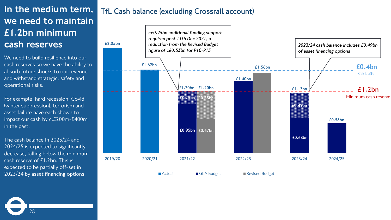# In the medium term, we need to maintain £1.2bn minimum cash reserves

We need to build resilience into our cash reserves so we have the ability to absorb future shocks to our revenue and withstand strategic, safety and operational risks.

For example, hard recession, Covid (winter suppression), terrorism and asset failure have each shown to impact our cash by c.£200m-£400m in the past.

The cash balance in 2023/24 and 2024/25 is expected to significantly decrease, falling below the minimum cash reserve of £1.2bn. This is expected to be partially off-set in 2023/24 by asset financing options.

28

## **TfL Cash balance (excluding Crossrail account)**



■ Actual Budget Revised Budget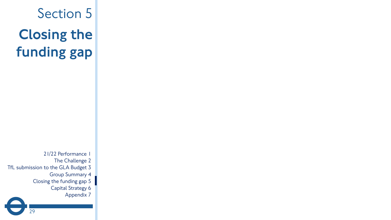Section 5 Closing the funding gap

21/22 Performance 1 The Challenge 2 TfL submission to the GLA Budget 3 Group Summary 4 Closing the funding gap 5 Capital Strategy 6 Appendix 7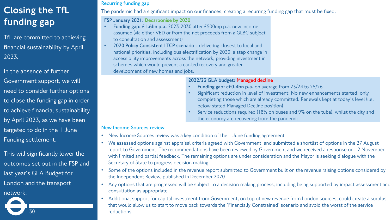# Closing the TfL funding gap

TfL are committed to achieving financial sustainability by April 2023.

In the absence of further Government support, we will need to consider further options to close the funding gap in order to achieve financial sustainability by April 2023, as we have been targeted to do in the 1 June Funding settlement.

This will significantly lower the outcomes set out in the FSP and last year's GLA Budget for London and the transport network.

30

### **Recurring funding gap**

The pandemic had a significant impact on our finances, creating a recurring funding gap that must be fixed.

### **FSP January 2021: Decarbonise by 2030**

- **Funding gap: £1.6bn p.a.** 2023-2030 after £500mp p.a. new income assumed (via either VED or from the net proceeds from a GLBC subject to consultation and assessment)
- **2020 Policy Consistent LTCP scenario -** delivering closest to local and national priorities, including bus electrification by 2030, a step change in accessibility improvements across the network, providing investment in schemes which would prevent a car-led recovery and greater development of new homes and jobs.

### **2022/23 GLA budget: Managed decline**

- **Funding gap: c£0.4bn p.a.** on average from 23/24 to 25/26
- Significant reduction in level of investment: No new enhancements started, only completing those which are already committed. Renewals kept at today's level (i.e. below stated Managed Decline position)
- Service reductions required (18% on buses and 9% on the tube), whilst the city and the economy are recovering from the pandemic

### **New Income Sources review**

- New Income Sources review was a key condition of the 1 June funding agreement
- We assessed options against appraisal criteria agreed with Government, and submitted a shortlist of options in the 27 August report to Government. The recommendations have been reviewed by Government and we received a response on 12 November with limited and partial feedback. The remaining options are under consideration and the Mayor is seeking dialogue with the Secretary of State to progress decision making.
- Some of the options included in the revenue report submitted to Government built on the revenue raising options considered by the Independent Review, published in December 2020
- Any options that are progressed will be subject to a decision making process, including being supported by impact assessment and consultation as appropriate
- Additional support for capital investment from Government, on top of new revenue from London sources, could create a surplus that would allow us to start to move back towards the 'Financially Constrained' scenario and avoid the worst of the service reductions.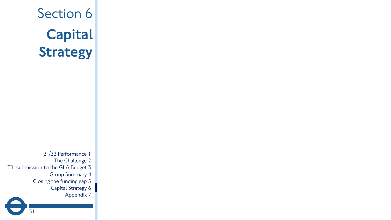# Section 6 **Capital** Strategy

21/22 Performance 1 The Challenge 2 TfL submission to the GLA Budget 3 Group Summary 4 Closing the funding gap 5 Capital Strategy 6 Appendix 7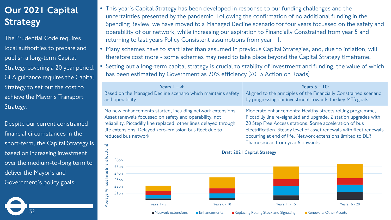# Our 2021 Capital Strategy

The Prudential Code requires local authorities to prepare and publish a long-term Capital Strategy covering a 20 year period. GLA guidance requires the Capital Strategy to set out the cost to achieve the Mayor's Transport Strategy.

Despite our current constrained financial circumstances in the short-term, the Capital Strategy is based on increasing investment over the medium-to-long term to deliver the Mayor's and Government's policy goals.

32

- This year's Capital Strategy has been developed in response to our funding challenges and the uncertainties presented by the pandemic. Following the confirmation of no additional funding in the Spending Review, we have moved to a Managed Decline scenario for four years focussed on the safety and operability of our network, while increasing our aspiration to Financially Constrained from year 5 and returning to last years Policy Consistent assumptions from year 11.
- Many schemes have to start later than assumed in previous Capital Strategies, and, due to inflation, will therefore cost more - some schemes may need to take place beyond the Capital Strategy timeframe.
- Setting out a long-term capital strategy is crucial to stability of investment and funding, the value of which has been estimated by Government as 20% efficiency (2013 Action on Roads)

| Years $1 - 4$ :<br>Based on the Managed Decline scenario which maintains safety<br>and operability                                                                                                                                                                           |                                    |               |                | Years $5 - 10$ :<br>Aligned to the principles of the Financially Constrained scenario<br>by progressing our investment towards the key MTS goals                                                                                                                                                                                                                 |               |  |  |
|------------------------------------------------------------------------------------------------------------------------------------------------------------------------------------------------------------------------------------------------------------------------------|------------------------------------|---------------|----------------|------------------------------------------------------------------------------------------------------------------------------------------------------------------------------------------------------------------------------------------------------------------------------------------------------------------------------------------------------------------|---------------|--|--|
| No new enhancements started, including network extensions.<br>Asset renewals focussed on safety and operability, not<br>reliability. Piccadilly line replaced, other lines delayed through<br>life extensions. Delayed zero-emission bus fleet due to<br>reduced bus network |                                    |               |                | Moderate enhancements: Healthy streets rolling programme,<br>Piccadilly line re-signalled and upgrade, 2 station upgrades with<br>20 Step Free Access stations, Some acceleration of bus<br>electrification. Steady level of asset renewals with fleet renewals<br>occurring at end of life. Network extensions limited to DLR<br>Thamesmead from year 6 onwards |               |  |  |
|                                                                                                                                                                                                                                                                              | <b>Draft 2021 Capital Strategy</b> |               |                |                                                                                                                                                                                                                                                                                                                                                                  |               |  |  |
|                                                                                                                                                                                                                                                                              | £6bn                               |               |                |                                                                                                                                                                                                                                                                                                                                                                  |               |  |  |
|                                                                                                                                                                                                                                                                              | £5bn                               |               |                |                                                                                                                                                                                                                                                                                                                                                                  |               |  |  |
|                                                                                                                                                                                                                                                                              | £4bn                               |               |                |                                                                                                                                                                                                                                                                                                                                                                  |               |  |  |
| Annual Investment (outturn)<br>Average                                                                                                                                                                                                                                       | £3bn                               |               |                |                                                                                                                                                                                                                                                                                                                                                                  |               |  |  |
|                                                                                                                                                                                                                                                                              | £2bn                               |               |                |                                                                                                                                                                                                                                                                                                                                                                  |               |  |  |
|                                                                                                                                                                                                                                                                              | <b>£</b> Ibn                       |               |                |                                                                                                                                                                                                                                                                                                                                                                  |               |  |  |
|                                                                                                                                                                                                                                                                              |                                    | Years $1 - 5$ | Years $6 - 10$ | Years 11 - 15                                                                                                                                                                                                                                                                                                                                                    | Years 16 - 20 |  |  |



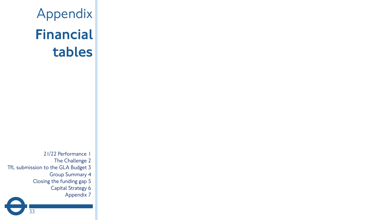Appendix Financial tables

21/22 Performance 1 The Challenge 2 TfL submission to the GLA Budget 3 Group Summary 4 Closing the funding gap 5 Capital Strategy 6 Appendix 7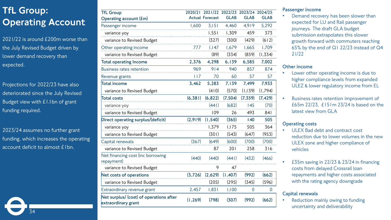# TfL Group: Operating Account

2021/22 is around £200m worse than the July Revised Budget driven by lower demand recovery than expected.

Projections for 2022/23 have also deteriorated since the July Revised Budget view with £1.1bn of grant funding required.

2023/24 assumes no further grant funding, which increases the operating account deficit to almost £1bn.

34

| <b>TfL Group</b>                                               | 2020/21  |                        | 2021/22 2022/23 2023/24 2024/25 |                |                |
|----------------------------------------------------------------|----------|------------------------|---------------------------------|----------------|----------------|
| Operating account $(fm)$                                       |          | <b>Actual Forecast</b> | <b>GLAB</b>                     | <b>GLAB</b>    | <b>GLAB</b>    |
| Passenger income                                               | 1,600    | 3,151                  | 4,460                           | 4,919          | 5,292          |
| variance yoy                                                   |          | 1,551                  | 1,309                           | 459            | 373            |
| variance to Revised Budget                                     |          | (327)                  | (300)                           | (429)          | (612)          |
| Other operating income                                         | 777      | 1,147                  | 1,679                           | 1,665          | 1,709          |
| variance to Revised Budget                                     |          | (89)                   | (334)                           | (859)          | (1, 334)       |
| <b>Total operating Income</b>                                  | 2,376    | 4,298                  | 6,139                           | 6,585          | 7,002          |
| <b>Business rates retention</b>                                | 969      | 914                    | 940                             | 857            | 874            |
| Revenue grants                                                 | 117      | 70                     | 60                              | 57             | 57             |
| Total income                                                   | 3,462    | 5,283                  | 7,139                           | 7,499          | 7,933          |
| variance to Revised Budget                                     |          | (410)                  | (570)                           | (1,139)        | (1,794)        |
| <b>Total costs</b>                                             | (6, 381) | (6, 822)               | (7,504)                         | (7, 359)       | (7, 429)       |
| variance yoy                                                   |          | (441)                  | (682)                           | 145            | (70)           |
| variance to Revised Budget                                     |          | 109                    | 26                              | 493            | 841            |
| Direct operating surplus/(deficit)                             | (2,919)  | (1, 540)               | (365)                           | 140            | 505            |
| variance yoy                                                   |          | 1,379                  | 1,175                           | 505            | 364            |
| variance to Revised Budget                                     |          | (301)                  | (543)                           | (647)          | (953)          |
| Capital renewals                                               | (367)    | (649)                  | (600)                           | (700)          | (700)          |
| variance to Revised Budget                                     |          | 87                     | 201                             | 258            | 316            |
| Net financing cost (inc borrowing<br>repayment)                | (440)    | (440)                  | (441)                           | (432)          | (466)          |
| variance to Revised Budget                                     |          | 9                      | 47                              |                |                |
| Net costs of operations                                        | (3, 726) | (2,629)                | (1,407)                         | (992)          | (662)          |
| variance to Revised Budget                                     |          | (205)                  | (295)                           | (345)          | (596)          |
| Extraordinary revenue grant                                    | 2,457    | 1,831                  | 1,100                           | $\overline{0}$ | $\overline{0}$ |
| Net surplus/ (cost) of operations after<br>extraordinary grant | (1, 269) | (798)                  | (307)                           | (992)          | (662)          |

### **Passenger income**

Demand recovery has been slower than expected for LU and Rail passenger journeys. The draft GLA budget submission extrapolates this slower growth forward with commuters reaching 65% by the end of Q1 22/23 instead of Q4 21/22

### **Other income**

- Lower other operating income is due to higher compliance levels from expanded ULEZ & lower regulatory income from EL
- Business rates retention improvement of £65m 22/23, £151m 23/24 is based on the latest view from GLA

### **Operating costs**

- ULEX Bad debt and contract cost reduction due to lower volumes in the new ULEX zone and higher compliance of vehicles
- £35m saving in 22/23 & 23/24 in financing costs from delayed Crossrail loan repayments and higher costs associated with the rating agency downgrade

### **Capital renewals**

Reduction mainly owing to funding uncertainty and deliverability